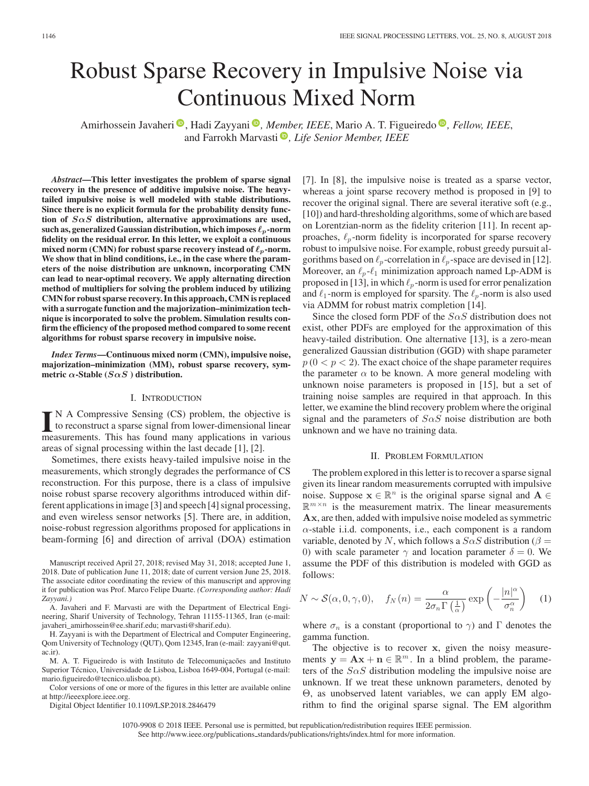# Robust Sparse Recovery in Impulsive Noise via Continuous Mixed Norm

Amirhossein Javaheri<sup>®</sup>[,](https://orcid.org/0000-0002-0970-7745) Hadi Zayyani<sup>®</sup>, *Member, IEEE*, Mario A. T. Figueiredo<sup>®</sup>, Fellow, IEEE, and Farrokh Marvasti<sup>®</sup>[,](https://orcid.org/0000-0002-4635-8986) *Life Senior Member, IEEE* 

*Abstract***—This letter investigates the problem of sparse signal recovery in the presence of additive impulsive noise. The heavytailed impulsive noise is well modeled with stable distributions. Since there is no explicit formula for the probability density function of** *SαS* **distribution, alternative approximations are used,** such as, generalized Gaussian distribution, which imposes  $\ell_p$ -norm **fidelity on the residual error. In this letter, we exploit a continuous** mixed norm (CMN) for robust sparse recovery instead of  $\ell_p$ -norm. **We show that in blind conditions, i.e., in the case where the parameters of the noise distribution are unknown, incorporating CMN can lead to near-optimal recovery. We apply alternating direction method of multipliers for solving the problem induced by utilizing CMN for robust sparse recovery. In this approach, CMN is replaced with a surrogate function and the majorization–minimization technique is incorporated to solve the problem. Simulation results confirm the efficiency of the proposed method compared to some recent algorithms for robust sparse recovery in impulsive noise.**

*Index Terms***—Continuous mixed norm (CMN), impulsive noise, majorization–minimization (MM), robust sparse recovery, symmetric**  $\alpha$ -Stable ( $S \alpha S$ ) distribution.

## I. INTRODUCTION

IN A Compressive Sensing (CS) problem, the objective is<br>to reconstruct a sparse signal from lower-dimensional linear<br>measurements. This has found many applications in various to reconstruct a sparse signal from lower-dimensional linear measurements. This has found many applications in various areas of signal processing within the last decade [1], [2].

Sometimes, there exists heavy-tailed impulsive noise in the measurements, which strongly degrades the performance of CS reconstruction. For this purpose, there is a class of impulsive noise robust sparse recovery algorithms introduced within different applications in image [3] and speech [4] signal processing, and even wireless sensor networks [5]. There are, in addition, noise-robust regression algorithms proposed for applications in beam-forming [6] and direction of arrival (DOA) estimation

Manuscript received April 27, 2018; revised May 31, 2018; accepted June 1, 2018. Date of publication June 11, 2018; date of current version June 25, 2018. The associate editor coordinating the review of this manuscript and approving it for publication was Prof. Marco Felipe Duarte. *(Corresponding author: Hadi Zayyani.)*

A. Javaheri and F. Marvasti are with the Department of Electrical Engineering, Sharif University of Technology, Tehran 11155-11365, Iran (e-mail: [javaheri\\_amirhossein@ee.sharif.edu;](mailto:javaheri_amirhossein@ee.sharif.edu) [marvasti@sharif.edu\)](mailto:marvasti@sharif.edu).

H. Zayyani is with the Department of Electrical and Computer Engineering, Qom University of Technology (QUT), Qom 12345, Iran (e-mail: zayyani@qut. [ac.ir\)](mailto:zayyani@qut.global advance reakcnt @ne penalty -@M ac.ir).

M. A. T. Figueiredo is with Instituto de Telecomuniçacões and Instituto Superior Técnico, Universidade de Lisboa, Lisboa 1649-004, Portugal (e-mail: [mario.figueiredo@tecnico.ulisboa.pt\)](mailto:mario.figueiredo@tecnico.ulisboa.pt).

Color versions of one or more of the figures in this letter are available online at http://ieeexplore.ieee.org.

Digital Object Identifier 10.1109/LSP.2018.2846479

[7]. In [8], the impulsive noise is treated as a sparse vector, whereas a joint sparse recovery method is proposed in [9] to recover the original signal. There are several iterative soft (e.g., [10]) and hard-thresholding algorithms, some of which are based on Lorentzian-norm as the fidelity criterion [11]. In recent approaches,  $\ell_p$ -norm fidelity is incorporated for sparse recovery robust to impulsive noise. For example, robust greedy pursuit algorithms based on  $\ell_p$ -correlation in  $\ell_p$ -space are devised in [12]. Moreover, an  $\ell_p$ - $\ell_1$  minimization approach named Lp-ADM is proposed in [13], in which  $\ell_p$ -norm is used for error penalization and  $\ell_1$ -norm is employed for sparsity. The  $\ell_p$ -norm is also used via ADMM for robust matrix completion [14].

Since the closed form PDF of the  $S \alpha S$  distribution does not exist, other PDFs are employed for the approximation of this heavy-tailed distribution. One alternative [13], is a zero-mean generalized Gaussian distribution (GGD) with shape parameter  $p (0 < p < 2)$ . The exact choice of the shape parameter requires the parameter  $\alpha$  to be known. A more general modeling with unknown noise parameters is proposed in [15], but a set of training noise samples are required in that approach. In this letter, we examine the blind recovery problem where the original signal and the parameters of  $S \alpha S$  noise distribution are both unknown and we have no training data.

#### II. PROBLEM FORMULATION

The problem explored in this letter is to recover a sparse signal given its linear random measurements corrupted with impulsive noise. Suppose  $\mathbf{x} \in \mathbb{R}^n$  is the original sparse signal and  $\mathbf{A} \in$  $\mathbb{R}^{m \times n}$  is the measurement matrix. The linear measurements **Ax**, are then, added with impulsive noise modeled as symmetric  $\alpha$ -stable i.i.d. components, i.e., each component is a random variable, denoted by N, which follows a  $S \alpha S$  distribution ( $\beta =$ 0) with scale parameter  $\gamma$  and location parameter  $\delta = 0$ . We assume the PDF of this distribution is modeled with GGD as follows:

$$
N \sim \mathcal{S}(\alpha, 0, \gamma, 0), \quad f_N(n) = \frac{\alpha}{2\sigma_n \Gamma\left(\frac{1}{\alpha}\right)} \exp\left(-\frac{|n|^{\alpha}}{\sigma_n^{\alpha}}\right) \quad (1)
$$

where  $\sigma_n$  is a constant (proportional to  $\gamma$ ) and  $\Gamma$  denotes the gamma function.

The objective is to recover **x**, given the noisy measurements  $y = Ax + n \in \mathbb{R}^m$ . In a blind problem, the parameters of the  $S \alpha S$  distribution modeling the impulsive noise are unknown. If we treat these unknown parameters, denoted by Θ, as unobserved latent variables, we can apply EM algorithm to find the original sparse signal. The EM algorithm

1070-9908 © 2018 IEEE. Personal use is permitted, but republication/redistribution requires IEEE permission. See http://www.ieee.org/publications standards/publications/rights/index.html for more information.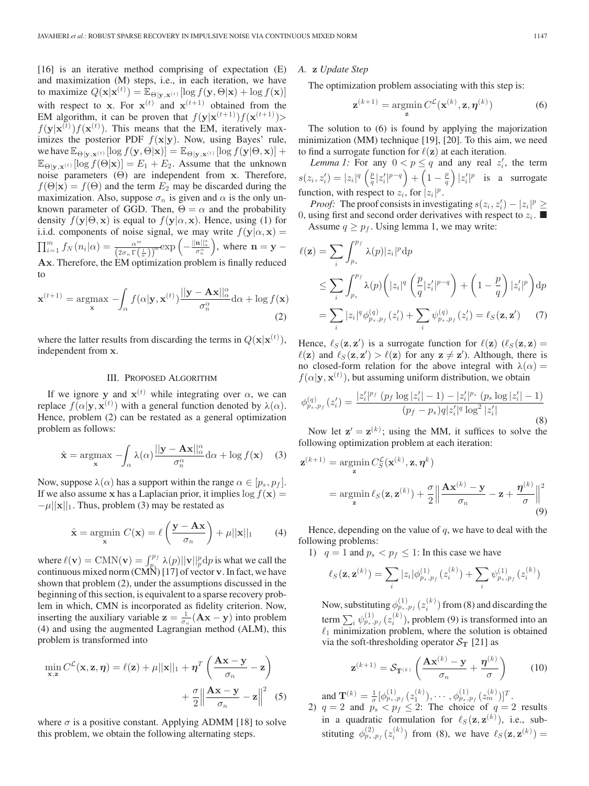[16] is an iterative method comprising of expectation (E) and maximization (M) steps, i.e., in each iteration, we have to maximize  $Q(\mathbf{x}|\mathbf{x}^{(t)}) = \mathbb{E}_{\Theta|\mathbf{y},\mathbf{x}^{(t)}}[\log f(\mathbf{y},\Theta|\mathbf{x}) + \log f(\mathbf{x})]$ with respect to **x**. For  $\mathbf{x}^{(t)}$  and  $\mathbf{x}^{(t+1)}$  obtained from the EM algorithm, it can be proven that  $f(\mathbf{y}|\mathbf{x}^{(t+1)})f(\mathbf{x}^{(t+1)})$ >  $f(\mathbf{y}|\mathbf{x}^{(t)})f(\mathbf{x}^{(t)})$ . This means that the EM, iteratively maximizes the posterior PDF  $f(x|y)$ . Now, using Bayes' rule, we have  $\mathbb{E}_{\Theta|\mathbf{v},\mathbf{x}^{(t)}}[\log f(\mathbf{y},\Theta|\mathbf{x})] = \mathbb{E}_{\Theta|\mathbf{y},\mathbf{x}^{(t)}}[\log f(\mathbf{y}|\Theta,\mathbf{x})] +$  $\mathbb{E}_{\Theta|\mathbf{y},\mathbf{x}^{(t)}}[\log f(\Theta|\mathbf{x})] = E_1 + E_2$ . Assume that the unknown noise parameters (Θ) are independent from **x**. Therefore,  $f(\Theta|\mathbf{x}) = f(\Theta)$  and the term  $E_2$  may be discarded during the maximization. Also, suppose  $\sigma_n$  is given and  $\alpha$  is the only unknown parameter of GGD. Then,  $\Theta = \alpha$  and the probability density  $f(\mathbf{y}|\Theta, \mathbf{x})$  is equal to  $f(\mathbf{y}|\alpha, \mathbf{x})$ . Hence, using (1) for i.i.d. components of noise signal, we may write  $f(\mathbf{y}|\alpha, \mathbf{x}) =$  $\prod_{i=1}^m f_N(n_i|\alpha) = \frac{\alpha^m}{(2\sigma_n \Gamma(\frac{1}{\alpha}))^m} \exp\left(-\frac{\|\mathbf{n}\|^{\alpha}}{\sigma_n^{\alpha}}\right)$ , where  $\mathbf{n} = \mathbf{y} -$ **Ax**. Therefore, the EM optimization problem is finally reduced to

$$
\mathbf{x}^{(t+1)} = \underset{\mathbf{x}}{\operatorname{argmax}} \ - \int_{\alpha} f(\alpha | \mathbf{y}, \mathbf{x}^{(t)}) \frac{||\mathbf{y} - \mathbf{A}\mathbf{x}||_{\alpha}^{\alpha}}{\sigma_{n}^{\alpha}} d\alpha + \log f(\mathbf{x})
$$
\n(2)

where the latter results from discarding the terms in  $Q(\mathbf{x}|\mathbf{x}^{(t)})$ , independent from **x**.

## III. PROPOSED ALGORITHM

If we ignore **y** and  $\mathbf{x}^{(t)}$  while integrating over  $\alpha$ , we can replace  $f(\alpha|\mathbf{y}, \mathbf{x}^{(t)})$  with a general function denoted by  $\lambda(\alpha)$ . Hence, problem (2) can be restated as a general optimization problem as follows:

$$
\hat{\mathbf{x}} = \underset{\mathbf{x}}{\text{argmax}} \ - \int_{\alpha} \lambda(\alpha) \frac{||\mathbf{y} - \mathbf{A}\mathbf{x}||_{\alpha}^{\alpha}}{\sigma_{n}^{\alpha}} d\alpha + \log f(\mathbf{x}) \tag{3}
$$

Now, suppose  $\lambda(\alpha)$  has a support within the range  $\alpha \in [p_s, p_f]$ . If we also assume **x** has a Laplacian prior, it implies  $\log f(\mathbf{x}) =$  $-\mu||\mathbf{x}||_1$ . Thus, problem (3) may be restated as

$$
\hat{\mathbf{x}} = \underset{\mathbf{x}}{\operatorname{argmin}} \ C(\mathbf{x}) = \ell \left( \frac{\mathbf{y} - \mathbf{A}\mathbf{x}}{\sigma_n} \right) + \mu ||\mathbf{x}||_1 \tag{4}
$$

where  $\ell(\mathbf{v}) = \text{CMN}(\mathbf{v}) = \int_{p_{\text{s}}}^{p_f} \lambda(p) ||\mathbf{v}||_p^p dp$  is what we call the continuous mixed norm (CMN) [17] of vector **v**. In fact, we have shown that problem (2), under the assumptions discussed in the beginning of this section, is equivalent to a sparse recovery problem in which, CMN is incorporated as fidelity criterion. Now, inserting the auxiliary variable  $z = \frac{1}{\sigma_n} (Ax - y)$  into problem (4) and using the augmented Lagrangian method (ALM), this problem is transformed into

$$
\min_{\mathbf{x}, \mathbf{z}} C^{\mathcal{L}}(\mathbf{x}, \mathbf{z}, \boldsymbol{\eta}) = \ell(\mathbf{z}) + \mu ||\mathbf{x}||_1 + \boldsymbol{\eta}^T \left( \frac{\mathbf{A}\mathbf{x} - \mathbf{y}}{\sigma_n} - \mathbf{z} \right) + \frac{\sigma}{2} \left\| \frac{\mathbf{A}\mathbf{x} - \mathbf{y}}{\sigma_n} - \mathbf{z} \right\|^2 \tag{5}
$$

where  $\sigma$  is a positive constant. Applying ADMM [18] to solve this problem, we obtain the following alternating steps.

*A.* **z** *Update Step*

The optimization problem associating with this step is:

$$
\mathbf{z}^{(k+1)} = \underset{\mathbf{z}}{\operatorname{argmin}} \, C^{\mathcal{L}}(\mathbf{x}^{(k)}, \mathbf{z}, \boldsymbol{\eta}^{(k)}) \tag{6}
$$

The solution to (6) is found by applying the majorization minimization (MM) technique [19], [20]. To this aim, we need to find a surrogate function for  $\ell(z)$  at each iteration.

*Lemma 1:* For any  $0 < p \le q$  and any real  $z'_i$ , the term  $s(z_i, z'_i) = |z_i|^q \left(\frac{p}{q} |z'_i|^{p-q}\right) + \left(1 - \frac{p}{q}\right) |z'_i|^p$  is a surrogate function, with respect to  $z_i$ , for  $|z_i|^p$ .

*Proof:* The proof consists in investigating  $s(z_i, z'_i) - |z_i|^p \ge$ 0, using first and second order derivatives with respect to  $z_i$ . Assume  $q \geq p_f$ . Using lemma 1, we may write:

$$
\ell(\mathbf{z}) = \sum_{i} \int_{p_s}^{p_f} \lambda(p) |z_i|^p \, dp
$$
  
\n
$$
\leq \sum_{i} \int_{p_s}^{p_f} \lambda(p) \left( |z_i|^q \left( \frac{p}{q} |z'_i|^{p-q} \right) + \left( 1 - \frac{p}{q} \right) |z'_i|^p \right) \, dp
$$
  
\n
$$
= \sum_{i} |z_i|^q \phi_{p_s, p_f}^{(q)}(z'_i) + \sum_{i} \psi_{p_s, p_f}^{(q)}(z'_i) = \ell_S(\mathbf{z}, \mathbf{z}') \tag{7}
$$

Hence,  $\ell_S(\mathbf{z}, \mathbf{z}')$  is a surrogate function for  $\ell(\mathbf{z})$  ( $\ell_S(\mathbf{z}, \mathbf{z})$ ) =  $\ell(\mathbf{z})$  and  $\ell_S(\mathbf{z}, \mathbf{z}') > \ell(\mathbf{z})$  for any  $\mathbf{z} \neq \mathbf{z}'$ ). Although, there is no closed-form relation for the above integral with  $\lambda(\alpha) =$  $f(\alpha|\mathbf{y}, \mathbf{x}^{(t)})$ , but assuming uniform distribution, we obtain

$$
\phi_{p_s, p_f}^{(q)}(z_i') = \frac{|z_i'|^{p_f} (p_f \log |z_i'| - 1) - |z_i'|^{p_s} (p_s \log |z_i'| - 1)}{(p_f - p_s)q|z_i'|^q \log^2 |z_i'|}
$$
\n(8)

Now let  $z' = z^{(k)}$ ; using the MM, it suffices to solve the following optimization problem at each iteration:

$$
\mathbf{z}^{(k+1)} = \underset{\mathbf{z}}{\operatorname{argmin}} C_S^{\mathcal{L}}(\mathbf{x}^{(k)}, \mathbf{z}, \boldsymbol{\eta}^k)
$$
  
= 
$$
\underset{\mathbf{z}}{\operatorname{argmin}} \ell_S(\mathbf{z}, \mathbf{z}^{(k)}) + \frac{\sigma}{2} \Big\| \frac{\mathbf{A} \mathbf{x}^{(k)} - \mathbf{y}}{\sigma_n} - \mathbf{z} + \frac{\boldsymbol{\eta}^{(k)}}{\sigma} \Big\|^2
$$
(9)

Hence, depending on the value of  $q$ , we have to deal with the following problems:

1)  $q = 1$  and  $p_s < p_f \leq 1$ : In this case we have

$$
\ell_S(\mathbf{z}, \mathbf{z}^{(k)}) = \sum_i |z_i| \phi_{p_s, p_f}^{(1)}(z_i^{(k)}) + \sum_i \psi_{p_s, p_f}^{(1)}(z_i^{(k)})
$$

Now, substituting  $\phi_{p_s,p_f}^{(1)}(z_i^{(k)})$  from (8) and discarding the term  $\sum_i \psi_{p_s, p_f}^{(1)}(z_i^{(k)})$ , problem (9) is transformed into an  $\ell_1$  minimization problem, where the solution is obtained via the soft-thresholding operator  $S_T$  [21] as

$$
\mathbf{z}^{(k+1)} = \mathcal{S}_{\mathbf{T}^{(k)}} \left( \frac{\mathbf{A} \mathbf{x}^{(k)} - \mathbf{y}}{\sigma_n} + \frac{\boldsymbol{\eta}^{(k)}}{\sigma} \right) \tag{10}
$$

and  $\mathbf{T}^{(k)} = \frac{1}{\sigma} [\phi_{p_s, p_f}^{(1)}(z_1^{(k)}), \cdots, \phi_{p_s, p_f}^{(1)}(z_m^{(k)})]^T$ .

2)  $q = 2$  and  $p_s < p_f \leq 2$ : The choice of  $q = 2$  results in a quadratic formulation for  $\ell_S(\mathbf{z}, \mathbf{z}^{(k)})$ , i.e., substituting  $\phi_{p_s, p_f}^{(2)}(z_i^{(k)})$  from (8), we have  $\ell_S(\mathbf{z}, \mathbf{z}^{(k)}) =$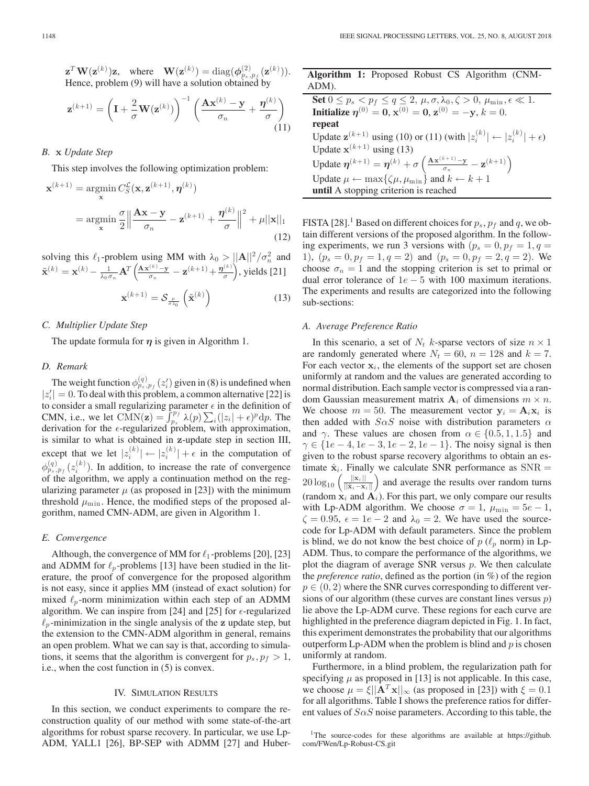$\mathbf{z}^T \mathbf{W}(\mathbf{z}^{(k)}) \mathbf{z}$ , where  $\mathbf{W}(\mathbf{z}^{(k)}) = \text{diag}(\phi_{p_s, p_f}^{(2)}(\mathbf{z}^{(k)})).$ Hence, problem (9) will have a solution obtained by

$$
\mathbf{z}^{(k+1)} = \left(\mathbf{I} + \frac{2}{\sigma} \mathbf{W}(\mathbf{z}^{(k)})\right)^{-1} \left(\frac{\mathbf{A}\mathbf{x}^{(k)} - \mathbf{y}}{\sigma_n} + \frac{\boldsymbol{\eta}^{(k)}}{\sigma}\right)
$$
(11)

# *B.* **x** *Update Step*

This step involves the following optimization problem:

$$
\mathbf{x}^{(k+1)} = \underset{\mathbf{x}}{\operatorname{argmin}} \frac{C_S^{\mathcal{L}}(\mathbf{x}, \mathbf{z}^{(k+1)}, \boldsymbol{\eta}^{(k)})}{\frac{\sigma}{2} \left\| \frac{\mathbf{A}\mathbf{x} - \mathbf{y}}{\sigma_n} - \mathbf{z}^{(k+1)} + \frac{\boldsymbol{\eta}^{(k)}}{\sigma} \right\|^2 + \mu \|\mathbf{x}\|_1}
$$
\n(12)

solving this  $\ell_1$ -problem using MM with  $\lambda_0 > ||\mathbf{A}||^2 / \sigma_n^2$  and  $\tilde{\mathbf{x}}^{(k)} = \mathbf{x}^{(k)} - \frac{1}{\lambda_0 \sigma_n} \mathbf{A}^T \left( \frac{\mathbf{A} \mathbf{x}^{(k)} - \mathbf{y}}{\sigma_n} - \mathbf{z}^{(k+1)} + \frac{\eta^{(k)}}{\sigma} \right)$ , yields [21]

$$
\mathbf{x}^{(k+1)} = \mathcal{S}_{\frac{\mu}{\sigma \lambda_0}}\left(\tilde{\mathbf{x}}^{(k)}\right)
$$
 (13)

## *C. Multiplier Update Step*

The update formula for  $\eta$  is given in Algorithm 1.

## *D. Remark*

The weight function  $\phi_{p_s,p_f}^{(q)}(z_i)$  given in (8) is undefined when  $|z'_i| = 0$ . To deal with this problem, a common alternative [22] is to consider a small regularizing parameter  $\epsilon$  in the definition of CMN, i.e., we let  $\text{CMN}(\mathbf{z}) = \int_{p_s}^{p_f} \lambda(p) \sum_i (|z_i| + \epsilon)^p dp$ . The derivation for the  $\epsilon$ -regularized problem, with approximation, is similar to what is obtained in **z**-update step in section III, except that we let  $|z_i^{(k)}| \leftarrow |z_i^{(k)}| + \epsilon$  in the computation of  $\phi_{p_s, p_f}^{(q)}(z_i^{(k)})$ . In addition, to increase the rate of convergence of the algorithm, we apply a continuation method on the regularizing parameter  $\mu$  (as proposed in [23]) with the minimum threshold  $\mu_{\min}$ . Hence, the modified steps of the proposed algorithm, named CMN-ADM, are given in Algorithm 1.

### *E. Convergence*

Although, the convergence of MM for  $\ell_1$ -problems [20], [23] and ADMM for  $\ell_p$ -problems [13] have been studied in the literature, the proof of convergence for the proposed algorithm is not easy, since it applies MM (instead of exact solution) for mixed  $\ell_p$ -norm minimization within each step of an ADMM algorithm. We can inspire from [24] and [25] for  $\epsilon$ -regularized  $\ell_p$ -minimization in the single analysis of the **z** update step, but the extension to the CMN-ADM algorithm in general, remains an open problem. What we can say is that, according to simulations, it seems that the algorithm is convergent for  $p_s, p_f > 1$ , i.e., when the cost function in (5) is convex.

#### IV. SIMULATION RESULTS

In this section, we conduct experiments to compare the reconstruction quality of our method with some state-of-the-art algorithms for robust sparse recovery. In particular, we use Lp-ADM, YALL1 [26], BP-SEP with ADMM [27] and Huber**Algorithm 1:** Proposed Robust CS Algorithm (CNM-ADM).

**Set**  $0 \leq p_s < p_f \leq q \leq 2$ ,  $\mu, \sigma, \lambda_0, \zeta > 0$ ,  $\mu_{\min}, \epsilon \ll 1$ . **Initialize**  $\eta^{(0)} = 0$ ,  $\mathbf{x}^{(0)} = 0$ ,  $\mathbf{z}^{(0)} = -\mathbf{y}$ ,  $k = 0$ . **repeat** Update  $\mathbf{z}^{(k+1)}$  using (10) or (11) (with  $|z_i^{(k)}| \leftarrow |z_i^{(k)}| + \epsilon$ ) Update  $\mathbf{x}^{(k+1)}$  using (13) Update  $\eta^{(k+1)} = \eta^{(k)} + \sigma \left( \frac{\mathbf{A} \mathbf{x}^{(k+1)} - \mathbf{y}}{\sigma_n} - \mathbf{z}^{(k+1)} \right)$ Update  $\mu \leftarrow \max\{\zeta\mu, \mu_{\min}\}\$  and  $k \leftarrow k + 1$ **until** A stopping criterion is reached

FISTA [28].<sup>1</sup> Based on different choices for  $p_s$ ,  $p_f$  and q, we obtain different versions of the proposed algorithm. In the following experiments, we run 3 versions with  $(p_s = 0, p_f = 1, q =$ 1),  $(p_s = 0, p_f = 1, q = 2)$  and  $(p_s = 0, p_f = 2, q = 2)$ . We choose  $\sigma_n = 1$  and the stopping criterion is set to primal or dual error tolerance of  $1e - 5$  with 100 maximum iterations. The experiments and results are categorized into the following sub-sections:

## *A. Average Preference Ratio*

In this scenario, a set of  $N_t$  k-sparse vectors of size  $n \times 1$ are randomly generated where  $N_t = 60$ ,  $n = 128$  and  $k = 7$ . For each vector  $x_i$ , the elements of the support set are chosen uniformly at random and the values are generated according to normal distribution. Each sample vector is compressed via a random Gaussian measurement matrix  $A_i$  of dimensions  $m \times n$ . We choose  $m = 50$ . The measurement vector  $y_i = A_i x_i$  is then added with  $S \alpha S$  noise with distribution parameters  $\alpha$ and  $\gamma$ . These values are chosen from  $\alpha \in \{0.5, 1, 1.5\}$  and  $\gamma \in \{1e-4, 1e-3, 1e-2, 1e-1\}$ . The noisy signal is then given to the robust sparse recovery algorithms to obtain an estimate  $\hat{\mathbf{x}}_i$ . Finally we calculate SNR performance as  $SNR =$  $20 \log_{10} \left( \frac{\|\mathbf{x}_i\|}{\|\hat{\mathbf{x}}_i - \mathbf{x}_i\|} \right)$  and average the results over random turns (random  $\dot{\mathbf{x}}_i$  and  $\dot{\mathbf{A}}_i$ ). For this part, we only compare our results with Lp-ADM algorithm. We choose  $\sigma = 1$ ,  $\mu_{\min} = 5e - 1$ ,  $\zeta = 0.95$ ,  $\epsilon = 1e - 2$  and  $\lambda_0 = 2$ . We have used the sourcecode for Lp-ADM with default parameters. Since the problem is blind, we do not know the best choice of  $p$  ( $\ell_p$  norm) in Lp-ADM. Thus, to compare the performance of the algorithms, we plot the diagram of average SNR versus  $p$ . We then calculate the *preference ratio*, defined as the portion (in %) of the region  $p \in (0, 2)$  where the SNR curves corresponding to different versions of our algorithm (these curves are constant lines versus  $p$ ) lie above the Lp-ADM curve. These regions for each curve are highlighted in the preference diagram depicted in Fig. 1. In fact, this experiment demonstrates the probability that our algorithms outperform  $L_p$ -ADM when the problem is blind and  $p$  is chosen uniformly at random.

Furthermore, in a blind problem, the regularization path for specifying  $\mu$  as proposed in [13] is not applicable. In this case, we choose  $\mu = \xi ||\mathbf{A}^T \mathbf{x}||_{\infty}$  (as proposed in [23]) with  $\xi = 0.1$ for all algorithms. Table I shows the preference ratios for different values of  $S\alpha S$  noise parameters. According to this table, the

<sup>&</sup>lt;sup>1</sup>The source-codes for these algorithms are available at https://github. com/FWen/Lp-Robust-CS.git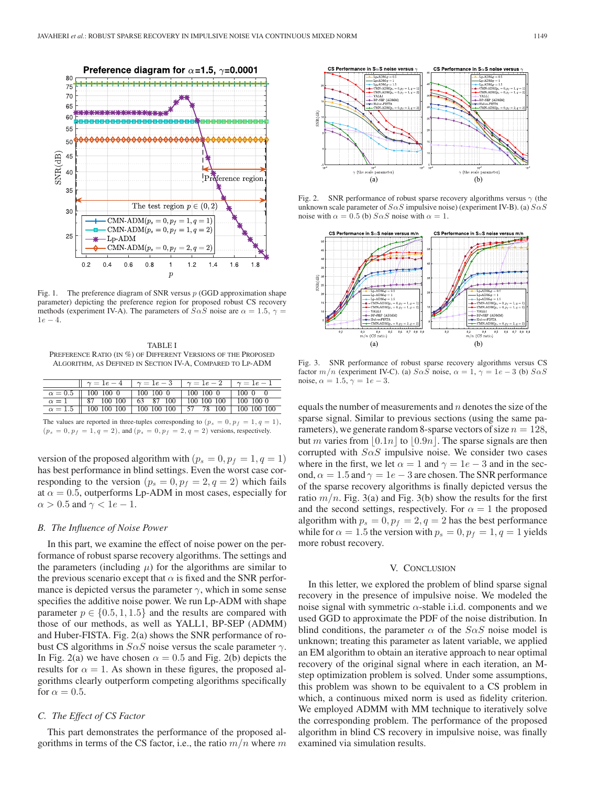

Fig. 1. The preference diagram of SNR versus  $p$  (GGD approximation shape parameter) depicting the preference region for proposed robust CS recovery methods (experiment IV-A). The parameters of  $S \alpha S$  noise are  $\alpha = 1.5$ ,  $\gamma =$  $1e - 4.$ 

TABLE I PREFERENCE RATIO (IN %) OF DIFFERENT VERSIONS OF THE PROPOSED ALGORITHM, AS DEFINED IN SECTION IV-A, COMPARED TO LP-ADM

| $   \gamma = 1e - 4   \gamma = 1e - 3   \gamma = 1e - 2   \gamma = 1e - 1$ |  |  |
|----------------------------------------------------------------------------|--|--|
| $\alpha = 0.5$    100 100 0   100 100 0   100 100 0   100 0 0              |  |  |
| $\alpha = 1$   87 100 100   63 87 100   100 100 100   100 100 0            |  |  |
| $\alpha = 1.5$   100 100 100   100 100 100   57 78 100   100 100 100       |  |  |

The values are reported in three-tuples corresponding to  $(p_s = 0, p_f = 1, q = 1)$ ,  $(p_s = 0, p_f = 1, q = 2)$ , and  $(p_s = 0, p_f = 2, q = 2)$  versions, respectively.

version of the proposed algorithm with  $(p_s = 0, p_f = 1, q = 1)$ has best performance in blind settings. Even the worst case corresponding to the version  $(p_s = 0, p_f = 2, q = 2)$  which fails at  $\alpha = 0.5$ , outperforms Lp-ADM in most cases, especially for  $\alpha > 0.5$  and  $\gamma < 1e - 1$ .

#### *B. The Influence of Noise Power*

In this part, we examine the effect of noise power on the performance of robust sparse recovery algorithms. The settings and the parameters (including  $\mu$ ) for the algorithms are similar to the previous scenario except that  $\alpha$  is fixed and the SNR performance is depicted versus the parameter  $\gamma$ , which in some sense specifies the additive noise power. We run Lp-ADM with shape parameter  $p \in \{0.5, 1, 1.5\}$  and the results are compared with those of our methods, as well as YALL1, BP-SEP (ADMM) and Huber-FISTA. Fig. 2(a) shows the SNR performance of robust CS algorithms in  $S \alpha S$  noise versus the scale parameter  $\gamma$ . In Fig. 2(a) we have chosen  $\alpha = 0.5$  and Fig. 2(b) depicts the results for  $\alpha = 1$ . As shown in these figures, the proposed algorithms clearly outperform competing algorithms specifically for  $\alpha = 0.5$ .

## *C. The Effect of CS Factor*

This part demonstrates the performance of the proposed algorithms in terms of the CS factor, i.e., the ratio  $m/n$  where m



Fig. 2. SNR performance of robust sparse recovery algorithms versus  $\gamma$  (the unknown scale parameter of  $S \alpha S$  impulsive noise) (experiment IV-B). (a)  $S \alpha S$ noise with  $\alpha = 0.5$  (b)  $S \alpha S$  noise with  $\alpha = 1$ .



Fig. 3. SNR performance of robust sparse recovery algorithms versus CS factor  $m/n$  (experiment IV-C). (a)  $S \alpha S$  noise,  $\alpha = 1$ ,  $\gamma = 1e - 3$  (b)  $S \alpha S$ noise,  $\alpha = 1.5$ ,  $\gamma = 1e - 3$ .

equals the number of measurements and  $n$  denotes the size of the sparse signal. Similar to previous sections (using the same parameters), we generate random 8-sparse vectors of size  $n = 128$ , but m varies from  $\vert 0.1n \vert$  to  $\vert 0.9n \vert$ . The sparse signals are then corrupted with  $S \alpha S$  impulsive noise. We consider two cases where in the first, we let  $\alpha = 1$  and  $\gamma = 1e - 3$  and in the second,  $\alpha = 1.5$  and  $\gamma = 1e - 3$  are chosen. The SNR performance of the sparse recovery algorithms is finally depicted versus the ratio  $m/n$ . Fig. 3(a) and Fig. 3(b) show the results for the first and the second settings, respectively. For  $\alpha = 1$  the proposed algorithm with  $p_s = 0$ ,  $p_f = 2$ ,  $q = 2$  has the best performance while for  $\alpha = 1.5$  the version with  $p_s = 0, p_f = 1, q = 1$  yields more robust recovery.

#### V. CONCLUSION

In this letter, we explored the problem of blind sparse signal recovery in the presence of impulsive noise. We modeled the noise signal with symmetric  $\alpha$ -stable i.i.d. components and we used GGD to approximate the PDF of the noise distribution. In blind conditions, the parameter  $\alpha$  of the  $S \alpha S$  noise model is unknown; treating this parameter as latent variable, we applied an EM algorithm to obtain an iterative approach to near optimal recovery of the original signal where in each iteration, an Mstep optimization problem is solved. Under some assumptions, this problem was shown to be equivalent to a CS problem in which, a continuous mixed norm is used as fidelity criterion. We employed ADMM with MM technique to iteratively solve the corresponding problem. The performance of the proposed algorithm in blind CS recovery in impulsive noise, was finally examined via simulation results.